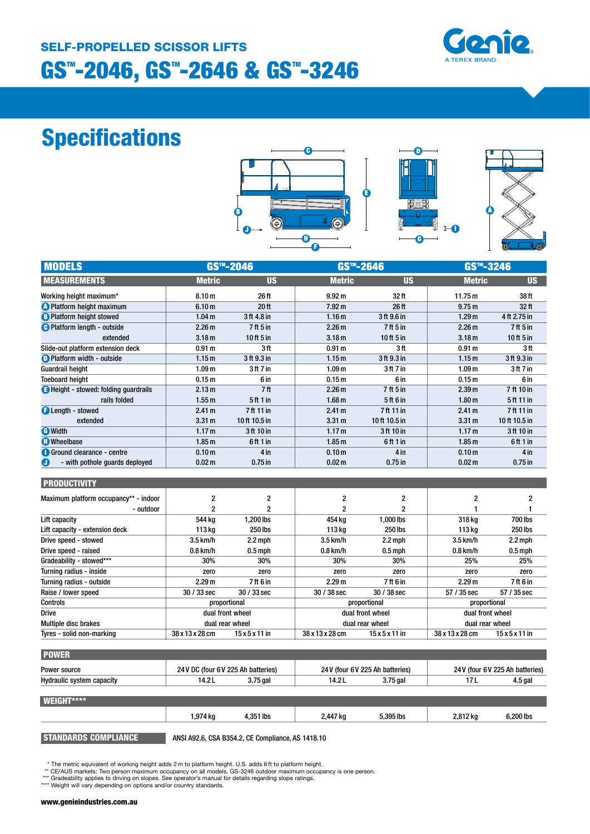# GS™-2046, GS™-2646 & GS™-3246 SELF-PROPELLED SCISSOR LIFTS



# Specifications







| <b>MODELS</b>                                | GS <sup>™</sup> -2046 |                  | GS <sup>™</sup> -2646   |                  | $GSTM - 3246$     |                |
|----------------------------------------------|-----------------------|------------------|-------------------------|------------------|-------------------|----------------|
| <b>MEASUREMENTS</b>                          | <b>Metric</b>         | <b>US</b>        | <b>Metric</b>           | <b>US</b>        | <b>Metric</b>     | <b>US</b>      |
| Working height maximum*                      | 8.10 <sub>m</sub>     | 26 ft            | 9.92 <sub>m</sub>       | 32 <sub>ft</sub> | 11.75 m           | 38 ft          |
| <b>A</b> Platform height maximum             | 6.10 <sub>m</sub>     | 20 <sub>ft</sub> | 7.92 <sub>m</sub>       | 26 ft            | 9.75 <sub>m</sub> | 32 ft          |
| <b>B</b> Platform height stowed              | 1.04 <sub>m</sub>     | 3 ft 4.8 in      | 1.16 <sub>m</sub>       | 3 ft 9.6 in      | 1.29 <sub>m</sub> | 4 ft 2.75 in   |
| <b>O</b> Platform length - outside           | 2.26 <sub>m</sub>     | $7$ ft 5 in      | 2.26 <sub>m</sub>       | 7 ft 5 in        | 2.26 <sub>m</sub> | 7ft 5in        |
| extended                                     | 3.18 <sub>m</sub>     | 10 ft 5 in       | 3.18 <sub>m</sub>       | 10 ft 5 in       | 3.18 <sub>m</sub> | 10 ft 5 in     |
| Slide-out platform extension deck            | 0.91 <sub>m</sub>     | 3 ft             | 0.91 <sub>m</sub>       | 3ft              | 0.91 <sub>m</sub> | 3ft            |
| <b>O</b> Platform width - outside            | 1.15 <sub>m</sub>     | 3 ft 9.3 in      | 1.15 <sub>m</sub>       | 3 ft 9.3 in      | 1.15 <sub>m</sub> | 3 ft 9.3 in    |
| <b>Guardrail height</b>                      | 1.09 <sub>m</sub>     | 3ft 7in          | 1.09 <sub>m</sub>       | 3 ft 7 in        | 1.09 <sub>m</sub> | 3ft 7in        |
| <b>Toeboard height</b>                       | 0.15 <sub>m</sub>     | 6 in             | 0.15 <sub>m</sub>       | 6 in             | 0.15 <sub>m</sub> | 6 in           |
| <b>B</b> Height - stowed: folding quardrails | 2.13 m                | 7ft              | 2.26 <sub>m</sub>       | 7 ft 5 in        | 2.39 <sub>m</sub> | 7 ft 10 in     |
| rails folded                                 | 1.55 <sub>m</sub>     | 5 ft 1 in        | 1.68 <sub>m</sub>       | 5ft 6 in         | 1.80 <sub>m</sub> | 5 ft 11 in     |
| <b>B</b> Length - stowed                     | 2.41 <sub>m</sub>     | 7 ft 11 in       | 2.41 m                  | 7ft 11 in        | 2.41 m            | 7 ft 11 in     |
| extended                                     | 3.31 <sub>m</sub>     | 10 ft 10.5 in    | 3.31 <sub>m</sub>       | 10ft 10.5 in     | 3.31 <sub>m</sub> | 10 ft 10.5 in  |
| <b>G</b> Width                               | 1.17 <sub>m</sub>     | 3ft 10 in        | 1.17 <sub>m</sub>       | 3 ft 10 in       | 1.17 <sub>m</sub> | 3 ft 10 in     |
| <b>C</b> Wheelbase                           | 1.85 <sub>m</sub>     | 6ft 1 in         | 1.85 <sub>m</sub>       | 6ft 1 in         | 1.85 <sub>m</sub> | 6ft 1 in       |
| <b>Ground clearance - centre</b>             | 0.10 <sub>m</sub>     | 4 in             | 0.10 <sub>m</sub>       | 4 in             | 0.10 <sub>m</sub> | 4 in           |
| O<br>- with pothole quards deployed          | 0.02 <sub>m</sub>     | $0.75$ in        | 0.02 <sub>m</sub>       | $0.75$ in        | 0.02 <sub>m</sub> | $0.75$ in      |
| <b>PRODUCTIVITY</b>                          |                       |                  |                         |                  |                   |                |
| Maximum platform occupancy** - indoor        | $\overline{2}$        | 2                | $\overline{\mathbf{c}}$ | $\overline{c}$   | $\mathbf{2}$      | 2              |
| - outdoor                                    | $\mathbf{2}$          | 2                | $\overline{c}$          |                  |                   |                |
| Lift capacity                                | 544 kg                | 1,200 lbs        | 454 kg                  | 1,000 lbs        | 318 kg            | 700 lbs        |
| Lift capacity - extension deck               | 113 kg                | 250 lbs          | 113 kg                  | 250 lbs          | 113 kg            | <b>250 lbs</b> |
| Drive speed - stowed                         | 3.5 km/h              | $2.2$ mph        | 3.5 km/h                | $2.2$ mph        | 3.5 km/h          | $2.2$ mph      |
| Drive speed - raised                         | $0.8$ km/h            | $0.5$ mph        | $0.8$ km/h              | $0.5$ mph        | $0.8$ km/h        | $0.5$ mph      |
| Gradeability - stowed***                     | 30%                   | 30%              | 30%                     | 30%              | 25%               | 25%            |
| Turning radius - inside                      | zero                  | zero             | zero                    | zero             | zero              | zero           |
| Turning radius - outside                     | 2.29 <sub>m</sub>     | 7 ft 6 in        | 2.29 <sub>m</sub>       | 7 ft 6 in        | 2.29 <sub>m</sub> | 7 ft 6 in      |

| Raise / lower speed         | $30/33$ sec<br>$30/33$ sec          | $30/38$ sec<br>$30/38$ sec                    | 57 / 35 sec<br>57 / 35 sec      |  |
|-----------------------------|-------------------------------------|-----------------------------------------------|---------------------------------|--|
| <b>Controls</b>             | proportional                        | proportional                                  | proportional                    |  |
| <b>Drive</b>                | dual front wheel                    | dual front wheel                              | dual front wheel                |  |
| <b>Multiple disc brakes</b> | dual rear wheel                     | dual rear wheel                               | dual rear wheel                 |  |
| Tyres - solid non-marking   | 38 x 13 x 28 cm<br>15x5x11in        | $15 \times 5 \times 11$ in<br>38 x 13 x 28 cm | 38 x 13 x 28 cm<br>$15x5x11$ in |  |
|                             |                                     |                                               |                                 |  |
| <b>POWER</b>                |                                     |                                               |                                 |  |
| Power source                | 24 V DC (four 6 V 225 Ah batteries) | 24V (four 6V 225 Ah batteries)                | 24 V (four 6 V 225 Ah batter    |  |

| Power source              | 24 V DC (four 6 V 225 Ah batteries) |           |          | 24V (four 6V 225 Ah batteries) |          | 24 V (four 6 V 225 Ah batteries) |
|---------------------------|-------------------------------------|-----------|----------|--------------------------------|----------|----------------------------------|
| Hydraulic system capacity | 14.2L                               | 3.75 gal  | 14.2L    | $3.75$ gal                     | 17L      | $4.5$ gal                        |
|                           |                                     |           |          |                                |          |                                  |
| WEIGHT****                |                                     |           |          |                                |          |                                  |
|                           | l.974 ka                            | 4.351 lbs | 2,447 kg | 5.395 lbs                      | 2,812 kg | 6.200 lbs                        |

STANDARDS COMPLIANCE ANSI A92.6, CSA B354.2, CE Compliance, AS 1418.10

\* The metric equivalent of working height adds 2 m to platform height. U.S. adds 6 ft to platform height.

\*\* CE/AUS markets: Two person maximum occupancy on all models. GS-3246 outdoor maximum occupancy is one person. \*\*\* Gradeability applies to driving on slopes. See operator's manual for details regarding slope ratings.

\*\*\*\* Weight will vary depending on options and/or country standards.

#### www.genieindustries.com.au